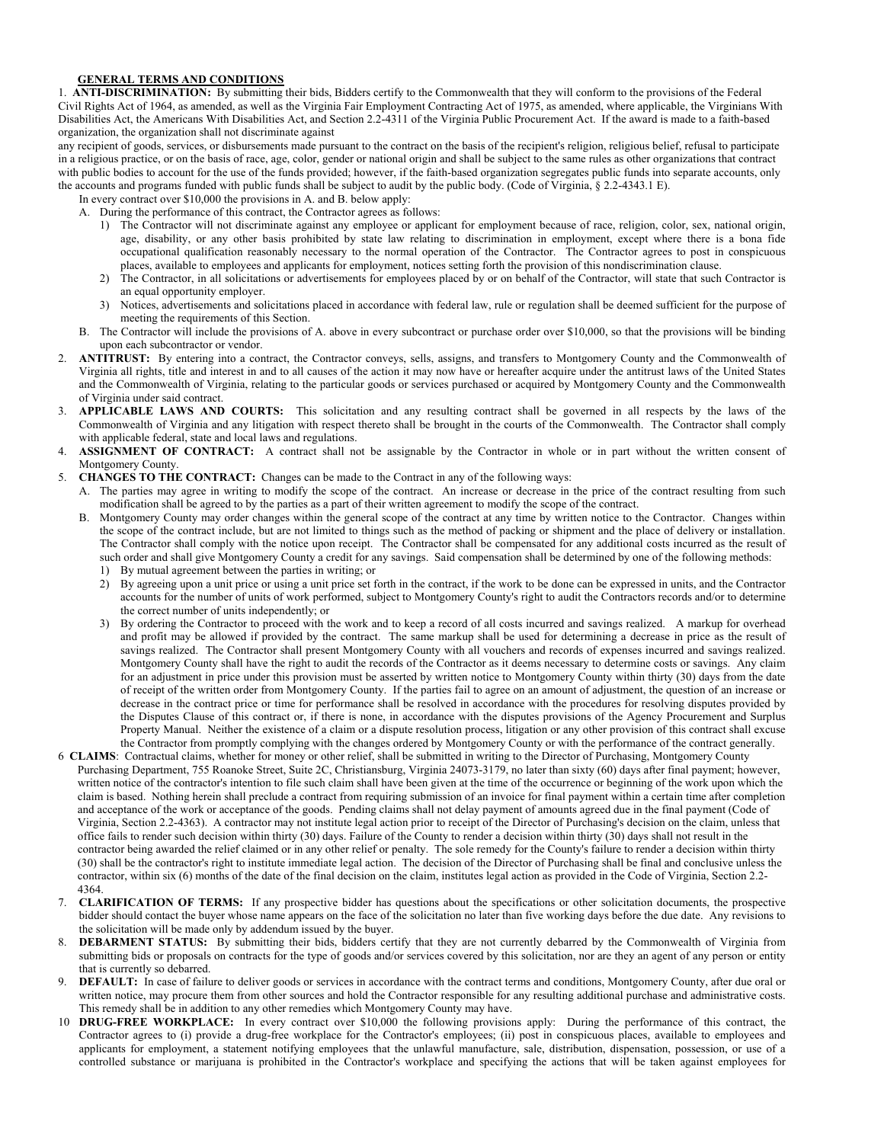## **GENERAL TERMS AND CONDITIONS**

1. **ANTI-DISCRIMINATION:** By submitting their bids, Bidders certify to the Commonwealth that they will conform to the provisions of the Federal Civil Rights Act of 1964, as amended, as well as the Virginia Fair Employment Contracting Act of 1975, as amended, where applicable, the Virginians With Disabilities Act, the Americans With Disabilities Act, and Section 2.2-4311 of the Virginia Public Procurement Act. If the award is made to a faith-based organization, the organization shall not discriminate against

any recipient of goods, services, or disbursements made pursuant to the contract on the basis of the recipient's religion, religious belief, refusal to participate in a religious practice, or on the basis of race, age, color, gender or national origin and shall be subject to the same rules as other organizations that contract with public bodies to account for the use of the funds provided; however, if the faith-based organization segregates public funds into separate accounts, only the accounts and programs funded with public funds shall be subject to audit by the public body. (Code of Virginia, § 2.2-4343.1 E).

 In every contract over \$10,000 the provisions in A. and B. below apply: A. During the performance of this contract, the Contractor agrees as follows:

- 1) The Contractor will not discriminate against any employee or applicant for employment because of race, religion, color, sex, national origin, age, disability, or any other basis prohibited by state law relating to discrimination in employment, except where there is a bona fide occupational qualification reasonably necessary to the normal operation of the Contractor. The Contractor agrees to post in conspicuous places, available to employees and applicants for employment, notices setting forth the provision of this nondiscrimination clause.
- 2) The Contractor, in all solicitations or advertisements for employees placed by or on behalf of the Contractor, will state that such Contractor is an equal opportunity employer.
- 3) Notices, advertisements and solicitations placed in accordance with federal law, rule or regulation shall be deemed sufficient for the purpose of meeting the requirements of this Section.
- B. The Contractor will include the provisions of A. above in every subcontract or purchase order over \$10,000, so that the provisions will be binding upon each subcontractor or vendor.
- 2. **ANTITRUST:** By entering into a contract, the Contractor conveys, sells, assigns, and transfers to Montgomery County and the Commonwealth of Virginia all rights, title and interest in and to all causes of the action it may now have or hereafter acquire under the antitrust laws of the United States and the Commonwealth of Virginia, relating to the particular goods or services purchased or acquired by Montgomery County and the Commonwealth of Virginia under said contract.
- 3. **APPLICABLE LAWS AND COURTS:** This solicitation and any resulting contract shall be governed in all respects by the laws of the Commonwealth of Virginia and any litigation with respect thereto shall be brought in the courts of the Commonwealth. The Contractor shall comply with applicable federal, state and local laws and regulations.
- 4. **ASSIGNMENT OF CONTRACT:** A contract shall not be assignable by the Contractor in whole or in part without the written consent of Montgomery County.
- 5. **CHANGES TO THE CONTRACT:** Changes can be made to the Contract in any of the following ways:
	- A. The parties may agree in writing to modify the scope of the contract. An increase or decrease in the price of the contract resulting from such modification shall be agreed to by the parties as a part of their written agreement to modify the scope of the contract.
	- B. Montgomery County may order changes within the general scope of the contract at any time by written notice to the Contractor. Changes within the scope of the contract include, but are not limited to things such as the method of packing or shipment and the place of delivery or installation. The Contractor shall comply with the notice upon receipt. The Contractor shall be compensated for any additional costs incurred as the result of such order and shall give Montgomery County a credit for any savings. Said compensation shall be determined by one of the following methods: 1) By mutual agreement between the parties in writing; or
		- 2) By agreeing upon a unit price or using a unit price set forth in the contract, if the work to be done can be expressed in units, and the Contractor accounts for the number of units of work performed, subject to Montgomery County's right to audit the Contractors records and/or to determine the correct number of units independently; or
		- 3) By ordering the Contractor to proceed with the work and to keep a record of all costs incurred and savings realized. A markup for overhead and profit may be allowed if provided by the contract. The same markup shall be used for determining a decrease in price as the result of savings realized. The Contractor shall present Montgomery County with all vouchers and records of expenses incurred and savings realized. Montgomery County shall have the right to audit the records of the Contractor as it deems necessary to determine costs or savings. Any claim for an adjustment in price under this provision must be asserted by written notice to Montgomery County within thirty (30) days from the date of receipt of the written order from Montgomery County. If the parties fail to agree on an amount of adjustment, the question of an increase or decrease in the contract price or time for performance shall be resolved in accordance with the procedures for resolving disputes provided by the Disputes Clause of this contract or, if there is none, in accordance with the disputes provisions of the Agency Procurement and Surplus Property Manual. Neither the existence of a claim or a dispute resolution process, litigation or any other provision of this contract shall excuse the Contractor from promptly complying with the changes ordered by Montgomery County or with the performance of the contract generally.
- 6 **CLAIMS**: Contractual claims, whether for money or other relief, shall be submitted in writing to the Director of Purchasing, Montgomery County Purchasing Department, 755 Roanoke Street, Suite 2C, Christiansburg, Virginia 24073-3179, no later than sixty (60) days after final payment; however, written notice of the contractor's intention to file such claim shall have been given at the time of the occurrence or beginning of the work upon which the claim is based. Nothing herein shall preclude a contract from requiring submission of an invoice for final payment within a certain time after completion and acceptance of the work or acceptance of the goods. Pending claims shall not delay payment of amounts agreed due in the final payment (Code of Virginia, Section 2.2-4363). A contractor may not institute legal action prior to receipt of the Director of Purchasing's decision on the claim, unless that office fails to render such decision within thirty (30) days. Failure of the County to render a decision within thirty (30) days shall not result in the contractor being awarded the relief claimed or in any other relief or penalty. The sole remedy for the County's failure to render a decision within thirty (30) shall be the contractor's right to institute immediate legal action. The decision of the Director of Purchasing shall be final and conclusive unless the contractor, within six (6) months of the date of the final decision on the claim, institutes legal action as provided in the Code of Virginia, Section 2.2- 4364.
- 7. **CLARIFICATION OF TERMS:** If any prospective bidder has questions about the specifications or other solicitation documents, the prospective bidder should contact the buyer whose name appears on the face of the solicitation no later than five working days before the due date. Any revisions to the solicitation will be made only by addendum issued by the buyer.
- DEBARMENT STATUS: By submitting their bids, bidders certify that they are not currently debarred by the Commonwealth of Virginia from submitting bids or proposals on contracts for the type of goods and/or services covered by this solicitation, nor are they an agent of any person or entity that is currently so debarred.
- DEFAULT: In case of failure to deliver goods or services in accordance with the contract terms and conditions, Montgomery County, after due oral or written notice, may procure them from other sources and hold the Contractor responsible for any resulting additional purchase and administrative costs. This remedy shall be in addition to any other remedies which Montgomery County may have.
- 10 **DRUG-FREE WORKPLACE:** In every contract over \$10,000 the following provisions apply: During the performance of this contract, the Contractor agrees to (i) provide a drug-free workplace for the Contractor's employees; (ii) post in conspicuous places, available to employees and applicants for employment, a statement notifying employees that the unlawful manufacture, sale, distribution, dispensation, possession, or use of a controlled substance or marijuana is prohibited in the Contractor's workplace and specifying the actions that will be taken against employees for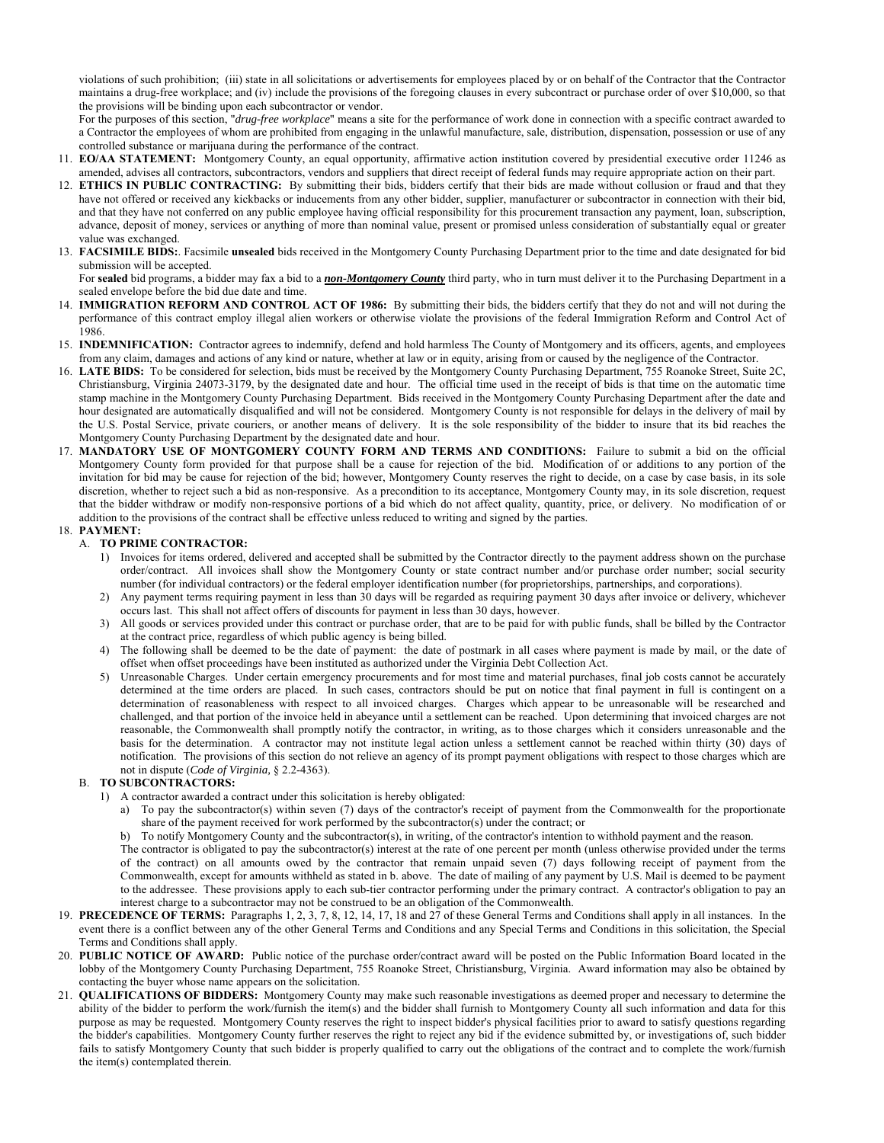violations of such prohibition; (iii) state in all solicitations or advertisements for employees placed by or on behalf of the Contractor that the Contractor maintains a drug-free workplace; and (iv) include the provisions of the foregoing clauses in every subcontract or purchase order of over \$10,000, so that the provisions will be binding upon each subcontractor or vendor.

 For the purposes of this section, "*drug-free workplace*" means a site for the performance of work done in connection with a specific contract awarded to a Contractor the employees of whom are prohibited from engaging in the unlawful manufacture, sale, distribution, dispensation, possession or use of any controlled substance or marijuana during the performance of the contract.

- 11. **EO/AA STATEMENT:** Montgomery County, an equal opportunity, affirmative action institution covered by presidential executive order 11246 as amended, advises all contractors, subcontractors, vendors and suppliers that direct receipt of federal funds may require appropriate action on their part.
- 12. **ETHICS IN PUBLIC CONTRACTING:** By submitting their bids, bidders certify that their bids are made without collusion or fraud and that they have not offered or received any kickbacks or inducements from any other bidder, supplier, manufacturer or subcontractor in connection with their bid, and that they have not conferred on any public employee having official responsibility for this procurement transaction any payment, loan, subscription, advance, deposit of money, services or anything of more than nominal value, present or promised unless consideration of substantially equal or greater value was exchanged.
- 13. **FACSIMILE BIDS:**. Facsimile **unsealed** bids received in the Montgomery County Purchasing Department prior to the time and date designated for bid submission will be accepted.

 For **sealed** bid programs, a bidder may fax a bid to a *non-Montgomery County* third party, who in turn must deliver it to the Purchasing Department in a sealed envelope before the bid due date and time.

- 14. **IMMIGRATION REFORM AND CONTROL ACT OF 1986:** By submitting their bids, the bidders certify that they do not and will not during the performance of this contract employ illegal alien workers or otherwise violate the provisions of the federal Immigration Reform and Control Act of 1986.
- 15. **INDEMNIFICATION:** Contractor agrees to indemnify, defend and hold harmless The County of Montgomery and its officers, agents, and employees from any claim, damages and actions of any kind or nature, whether at law or in equity, arising from or caused by the negligence of the Contractor.
- 16. **LATE BIDS:** To be considered for selection, bids must be received by the Montgomery County Purchasing Department, 755 Roanoke Street, Suite 2C, Christiansburg, Virginia 24073-3179, by the designated date and hour. The official time used in the receipt of bids is that time on the automatic time stamp machine in the Montgomery County Purchasing Department. Bids received in the Montgomery County Purchasing Department after the date and hour designated are automatically disqualified and will not be considered. Montgomery County is not responsible for delays in the delivery of mail by the U.S. Postal Service, private couriers, or another means of delivery. It is the sole responsibility of the bidder to insure that its bid reaches the Montgomery County Purchasing Department by the designated date and hour.
- 17. **MANDATORY USE OF MONTGOMERY COUNTY FORM AND TERMS AND CONDITIONS:** Failure to submit a bid on the official Montgomery County form provided for that purpose shall be a cause for rejection of the bid. Modification of or additions to any portion of the invitation for bid may be cause for rejection of the bid; however, Montgomery County reserves the right to decide, on a case by case basis, in its sole discretion, whether to reject such a bid as non-responsive. As a precondition to its acceptance, Montgomery County may, in its sole discretion, request that the bidder withdraw or modify non-responsive portions of a bid which do not affect quality, quantity, price, or delivery. No modification of or addition to the provisions of the contract shall be effective unless reduced to writing and signed by the parties.

## 18. **PAYMENT:**

- A. **TO PRIME CONTRACTOR:**
	- 1) Invoices for items ordered, delivered and accepted shall be submitted by the Contractor directly to the payment address shown on the purchase order/contract. All invoices shall show the Montgomery County or state contract number and/or purchase order number; social security number (for individual contractors) or the federal employer identification number (for proprietorships, partnerships, and corporations).
	- 2) Any payment terms requiring payment in less than 30 days will be regarded as requiring payment 30 days after invoice or delivery, whichever occurs last. This shall not affect offers of discounts for payment in less than 30 days, however.
	- 3) All goods or services provided under this contract or purchase order, that are to be paid for with public funds, shall be billed by the Contractor at the contract price, regardless of which public agency is being billed.
	- 4) The following shall be deemed to be the date of payment: the date of postmark in all cases where payment is made by mail, or the date of offset when offset proceedings have been instituted as authorized under the Virginia Debt Collection Act.
	- 5) Unreasonable Charges. Under certain emergency procurements and for most time and material purchases, final job costs cannot be accurately determined at the time orders are placed. In such cases, contractors should be put on notice that final payment in full is contingent on a determination of reasonableness with respect to all invoiced charges. Charges which appear to be unreasonable will be researched and challenged, and that portion of the invoice held in abeyance until a settlement can be reached. Upon determining that invoiced charges are not reasonable, the Commonwealth shall promptly notify the contractor, in writing, as to those charges which it considers unreasonable and the basis for the determination. A contractor may not institute legal action unless a settlement cannot be reached within thirty (30) days of notification. The provisions of this section do not relieve an agency of its prompt payment obligations with respect to those charges which are not in dispute (*Code of Virginia,* § 2.2-4363).

## B. **TO SUBCONTRACTORS:**

- 1) A contractor awarded a contract under this solicitation is hereby obligated:
	- a) To pay the subcontractor(s) within seven (7) days of the contractor's receipt of payment from the Commonwealth for the proportionate share of the payment received for work performed by the subcontractor(s) under the contract; or
	- b) To notify Montgomery County and the subcontractor(s), in writing, of the contractor's intention to withhold payment and the reason.

 The contractor is obligated to pay the subcontractor(s) interest at the rate of one percent per month (unless otherwise provided under the terms of the contract) on all amounts owed by the contractor that remain unpaid seven (7) days following receipt of payment from the Commonwealth, except for amounts withheld as stated in b. above. The date of mailing of any payment by U.S. Mail is deemed to be payment to the addressee. These provisions apply to each sub-tier contractor performing under the primary contract. A contractor's obligation to pay an interest charge to a subcontractor may not be construed to be an obligation of the Commonwealth.

- 19. **PRECEDENCE OF TERMS:** Paragraphs 1, 2, 3, 7, 8, 12, 14, 17, 18 and 27 of these General Terms and Conditions shall apply in all instances. In the event there is a conflict between any of the other General Terms and Conditions and any Special Terms and Conditions in this solicitation, the Special Terms and Conditions shall apply.
- 20. **PUBLIC NOTICE OF AWARD:** Public notice of the purchase order/contract award will be posted on the Public Information Board located in the lobby of the Montgomery County Purchasing Department, 755 Roanoke Street, Christiansburg, Virginia. Award information may also be obtained by contacting the buyer whose name appears on the solicitation.
- 21. **QUALIFICATIONS OF BIDDERS:** Montgomery County may make such reasonable investigations as deemed proper and necessary to determine the ability of the bidder to perform the work/furnish the item(s) and the bidder shall furnish to Montgomery County all such information and data for this purpose as may be requested. Montgomery County reserves the right to inspect bidder's physical facilities prior to award to satisfy questions regarding the bidder's capabilities. Montgomery County further reserves the right to reject any bid if the evidence submitted by, or investigations of, such bidder fails to satisfy Montgomery County that such bidder is properly qualified to carry out the obligations of the contract and to complete the work/furnish the item(s) contemplated therein.